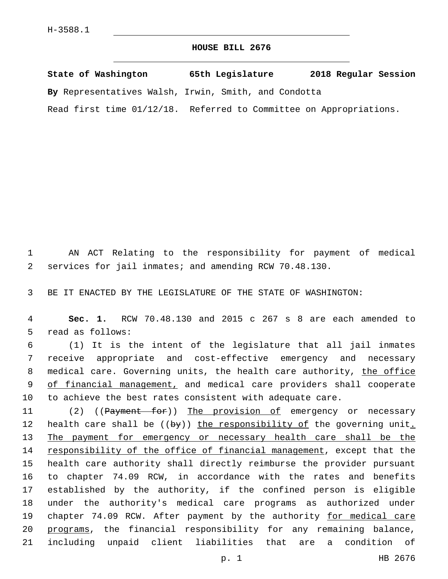## **HOUSE BILL 2676**

**State of Washington 65th Legislature 2018 Regular Session By** Representatives Walsh, Irwin, Smith, and Condotta Read first time 01/12/18. Referred to Committee on Appropriations.

1 AN ACT Relating to the responsibility for payment of medical 2 services for jail inmates; and amending RCW 70.48.130.

3 BE IT ENACTED BY THE LEGISLATURE OF THE STATE OF WASHINGTON:

4 **Sec. 1.** RCW 70.48.130 and 2015 c 267 s 8 are each amended to 5 read as follows:

6 (1) It is the intent of the legislature that all jail inmates 7 receive appropriate and cost-effective emergency and necessary 8 medical care. Governing units, the health care authority, the office 9 of financial management, and medical care providers shall cooperate 10 to achieve the best rates consistent with adequate care.

11 (2) ((Payment for)) The provision of emergency or necessary 12 health care shall be ((by)) the responsibility of the governing unit. 13 The payment for emergency or necessary health care shall be the 14 responsibility of the office of financial management, except that the 15 health care authority shall directly reimburse the provider pursuant 16 to chapter 74.09 RCW, in accordance with the rates and benefits 17 established by the authority, if the confined person is eligible 18 under the authority's medical care programs as authorized under 19 chapter 74.09 RCW. After payment by the authority for medical care 20 programs, the financial responsibility for any remaining balance, 21 including unpaid client liabilities that are a condition of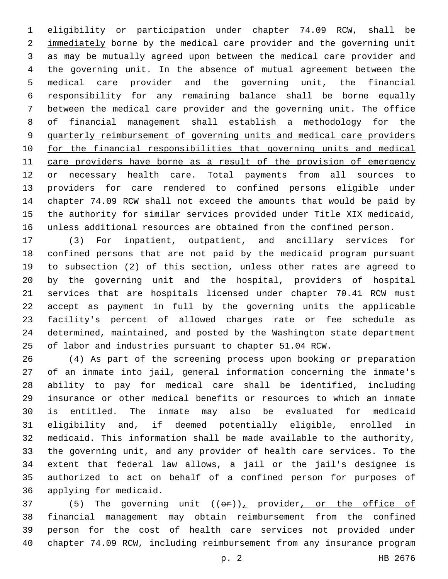eligibility or participation under chapter 74.09 RCW, shall be 2 immediately borne by the medical care provider and the governing unit as may be mutually agreed upon between the medical care provider and the governing unit. In the absence of mutual agreement between the medical care provider and the governing unit, the financial responsibility for any remaining balance shall be borne equally between the medical care provider and the governing unit. The office of financial management shall establish a methodology for the quarterly reimbursement of governing units and medical care providers for the financial responsibilities that governing units and medical care providers have borne as a result of the provision of emergency 12 or necessary health care. Total payments from all sources to providers for care rendered to confined persons eligible under chapter 74.09 RCW shall not exceed the amounts that would be paid by the authority for similar services provided under Title XIX medicaid, unless additional resources are obtained from the confined person.

 (3) For inpatient, outpatient, and ancillary services for confined persons that are not paid by the medicaid program pursuant to subsection (2) of this section, unless other rates are agreed to by the governing unit and the hospital, providers of hospital services that are hospitals licensed under chapter 70.41 RCW must accept as payment in full by the governing units the applicable facility's percent of allowed charges rate or fee schedule as determined, maintained, and posted by the Washington state department of labor and industries pursuant to chapter 51.04 RCW.

 (4) As part of the screening process upon booking or preparation of an inmate into jail, general information concerning the inmate's ability to pay for medical care shall be identified, including insurance or other medical benefits or resources to which an inmate is entitled. The inmate may also be evaluated for medicaid eligibility and, if deemed potentially eligible, enrolled in medicaid. This information shall be made available to the authority, the governing unit, and any provider of health care services. To the extent that federal law allows, a jail or the jail's designee is authorized to act on behalf of a confined person for purposes of 36 applying for medicaid.

37 (5) The governing unit  $((\theta \cdot \hat{r}))_T$  provider, or the office of financial management may obtain reimbursement from the confined person for the cost of health care services not provided under chapter 74.09 RCW, including reimbursement from any insurance program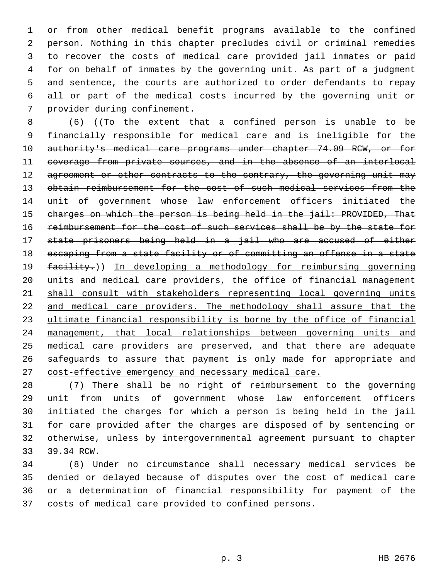or from other medical benefit programs available to the confined person. Nothing in this chapter precludes civil or criminal remedies to recover the costs of medical care provided jail inmates or paid for on behalf of inmates by the governing unit. As part of a judgment and sentence, the courts are authorized to order defendants to repay all or part of the medical costs incurred by the governing unit or 7 provider during confinement.

 (6) ((To the extent that a confined person is unable to be financially responsible for medical care and is ineligible for the 10 authority's medical care programs under chapter 74.09 RCW, or for coverage from private sources, and in the absence of an interlocal 12 agreement or other contracts to the contrary, the governing unit may 13 obtain reimbursement for the cost of such medical services from the unit of government whose law enforcement officers initiated the charges on which the person is being held in the jail: PROVIDED, That 16 reimbursement for the cost of such services shall be by the state for state prisoners being held in a jail who are accused of either escaping from a state facility or of committing an offense in a state 19 facility.)) In developing a methodology for reimbursing governing units and medical care providers, the office of financial management 21 shall consult with stakeholders representing local governing units 22 and medical care providers. The methodology shall assure that the ultimate financial responsibility is borne by the office of financial management, that local relationships between governing units and medical care providers are preserved, and that there are adequate safeguards to assure that payment is only made for appropriate and cost-effective emergency and necessary medical care.

 (7) There shall be no right of reimbursement to the governing unit from units of government whose law enforcement officers initiated the charges for which a person is being held in the jail for care provided after the charges are disposed of by sentencing or otherwise, unless by intergovernmental agreement pursuant to chapter 33 39.34 RCW.

 (8) Under no circumstance shall necessary medical services be denied or delayed because of disputes over the cost of medical care or a determination of financial responsibility for payment of the costs of medical care provided to confined persons.